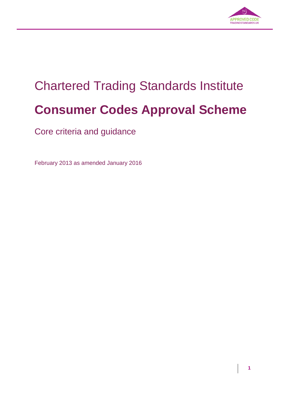

# Chartered Trading Standards Institute **Consumer Codes Approval Scheme**

Core criteria and guidance

February 2013 as amended January 2016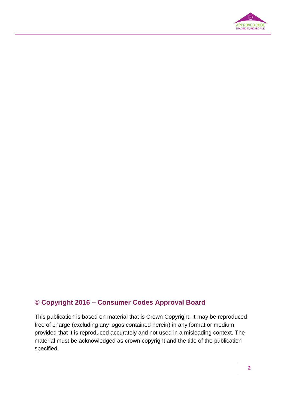

### **© Copyright 2016 – Consumer Codes Approval Board**

This publication is based on material that is Crown Copyright. It may be reproduced free of charge (excluding any logos contained herein) in any format or medium provided that it is reproduced accurately and not used in a misleading context. The material must be acknowledged as crown copyright and the title of the publication specified.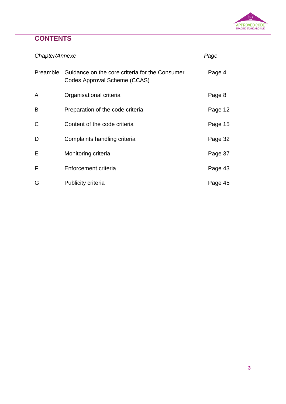

# **CONTENTS**

| Chapter/Annexe |                                                                                | Page    |
|----------------|--------------------------------------------------------------------------------|---------|
| Preamble       | Guidance on the core criteria for the Consumer<br>Codes Approval Scheme (CCAS) | Page 4  |
| A              | Organisational criteria                                                        | Page 8  |
| B              | Preparation of the code criteria                                               | Page 12 |
| C              | Content of the code criteria                                                   | Page 15 |
| D              | Complaints handling criteria                                                   | Page 32 |
| Е              | Monitoring criteria                                                            | Page 37 |
| F              | Enforcement criteria                                                           | Page 43 |
| G              | <b>Publicity criteria</b>                                                      | Page 45 |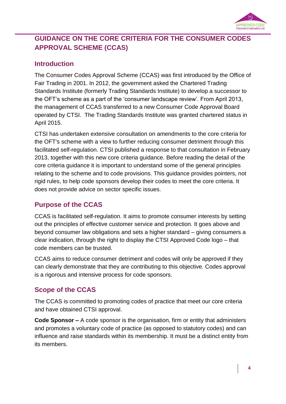

### **GUIDANCE ON THE CORE CRITERIA FOR THE CONSUMER CODES APPROVAL SCHEME (CCAS)**

### **Introduction**

The Consumer Codes Approval Scheme (CCAS) was first introduced by the Office of Fair Trading in 2001. In 2012, the government asked the Chartered Trading Standards Institute (formerly Trading Standards Institute) to develop a successor to the OFT's scheme as a part of the 'consumer landscape review'. From April 2013, the management of CCAS transferred to a new Consumer Code Approval Board operated by CTSI. The Trading Standards Institute was granted chartered status in April 2015.

CTSI has undertaken extensive consultation on amendments to the core criteria for the OFT's scheme with a view to further reducing consumer detriment through this facilitated self-regulation. CTSI published a response to that consultation in February 2013, together with this new core criteria guidance. Before reading the detail of the core criteria guidance it is important to understand some of the general principles relating to the scheme and to code provisions. This guidance provides pointers, not rigid rules, to help code sponsors develop their codes to meet the core criteria. It does not provide advice on sector specific issues.

### **Purpose of the CCAS**

CCAS is facilitated self-regulation. It aims to promote consumer interests by setting out the principles of effective customer service and protection. It goes above and beyond consumer law obligations and sets a higher standard – giving consumers a clear indication, through the right to display the CTSI Approved Code logo – that code members can be trusted.

CCAS aims to reduce consumer detriment and codes will only be approved if they can clearly demonstrate that they are contributing to this objective. Codes approval is a rigorous and intensive process for code sponsors.

### **Scope of the CCAS**

The CCAS is committed to promoting codes of practice that meet our core criteria and have obtained CTSI approval.

**Code Sponsor –** A code sponsor is the organisation, firm or entity that administers and promotes a voluntary code of practice (as opposed to statutory codes) and can influence and raise standards within its membership. It must be a distinct entity from its members.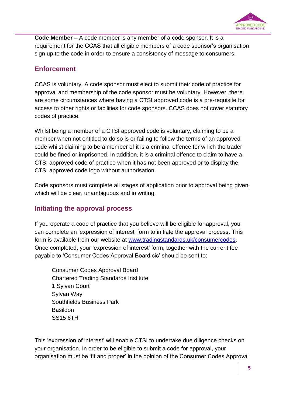

**Code Member –** A code member is any member of a code sponsor. It is a requirement for the CCAS that all eligible members of a code sponsor's organisation sign up to the code in order to ensure a consistency of message to consumers.

### **Enforcement**

CCAS is voluntary. A code sponsor must elect to submit their code of practice for approval and membership of the code sponsor must be voluntary. However, there are some circumstances where having a CTSI approved code is a pre-requisite for access to other rights or facilities for code sponsors. CCAS does not cover statutory codes of practice.

Whilst being a member of a CTSI approved code is voluntary, claiming to be a member when not entitled to do so is or failing to follow the terms of an approved code whilst claiming to be a member of it is a criminal offence for which the trader could be fined or imprisoned. In addition, it is a criminal offence to claim to have a CTSI approved code of practice when it has not been approved or to display the CTSI approved code logo without authorisation.

Code sponsors must complete all stages of application prior to approval being given, which will be clear, unambiguous and in writing.

### **Initiating the approval process**

If you operate a code of practice that you believe will be eligible for approval, you can complete an 'expression of interest' form to initiate the approval process. This form is available from our website at [www.tradingstandards.uk/consumercodes.](http://www.tradingstandards.uk/consumercodes) Once completed, your 'expression of interest' form, together with the current fee payable to 'Consumer Codes Approval Board cic' should be sent to:

Consumer Codes Approval Board Chartered Trading Standards Institute 1 Sylvan Court Sylvan Way Southfields Business Park Basildon SS15 6TH

This 'expression of interest' will enable CTSI to undertake due diligence checks on your organisation. In order to be eligible to submit a code for approval, your organisation must be 'fit and proper' in the opinion of the Consumer Codes Approval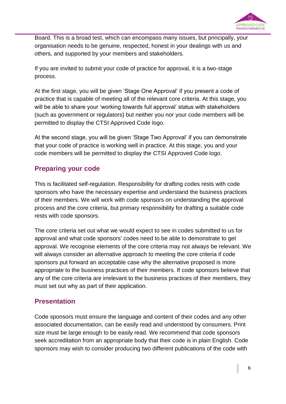

Board. This is a broad test, which can encompass many issues, but principally, your organisation needs to be genuine, respected, honest in your dealings with us and others, and supported by your members and stakeholders.

If you are invited to submit your code of practice for approval, it is a two-stage process.

At the first stage, you will be given 'Stage One Approval' if you present a code of practice that is capable of meeting all of the relevant core criteria. At this stage, you will be able to share your 'working towards full approval' status with stakeholders (such as government or regulators) but neither you nor your code members will be permitted to display the CTSI Approved Code logo.

At the second stage, you will be given 'Stage Two Approval' if you can demonstrate that your code of practice is working well in practice. At this stage, you and your code members will be permitted to display the CTSI Approved Code logo.

### **Preparing your code**

This is facilitated self-regulation. Responsibility for drafting codes rests with code sponsors who have the necessary expertise and understand the business practices of their members. We will work with code sponsors on understanding the approval process and the core criteria, but primary responsibility for drafting a suitable code rests with code sponsors.

The core criteria set out what we would expect to see in codes submitted to us for approval and what code sponsors' codes need to be able to demonstrate to get approval. We recognise elements of the core criteria may not always be relevant. We will always consider an alternative approach to meeting the core criteria if code sponsors put forward an acceptable case why the alternative proposed is more appropriate to the business practices of their members. If code sponsors believe that any of the core criteria are irrelevant to the business practices of their members, they must set out why as part of their application.

### **Presentation**

Code sponsors must ensure the language and content of their codes and any other associated documentation, can be easily read and understood by consumers. Print size must be large enough to be easily read. We recommend that code sponsors seek accreditation from an appropriate body that their code is in plain English. Code sponsors may wish to consider producing two different publications of the code with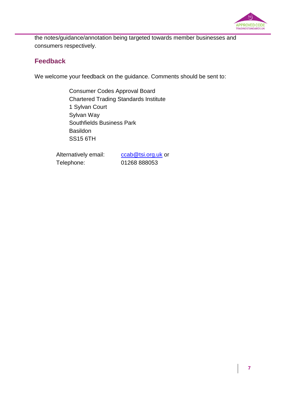

the notes/guidance/annotation being targeted towards member businesses and consumers respectively.

### **Feedback**

We welcome your feedback on the guidance. Comments should be sent to:

Consumer Codes Approval Board Chartered Trading Standards Institute 1 Sylvan Court Sylvan Way Southfields Business Park Basildon SS15 6TH

Alternatively email: [ccab@tsi.org.uk](mailto:ccab@tsi.org.uk) or Telephone: 01268 888053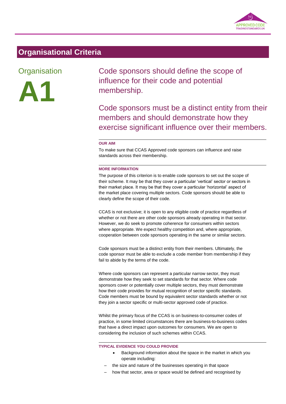

# **Organisational Criteria**

### **Organisation**



Code sponsors should define the scope of influence for their code and potential membership.

Code sponsors must be a distinct entity from their members and should demonstrate how they exercise significant influence over their members.

#### **OUR AIM**

To make sure that CCAS Approved code sponsors can influence and raise standards across their membership.

#### **MORE INFORMATION**

The purpose of this criterion is to enable code sponsors to set out the scope of their scheme. It may be that they cover a particular 'vertical' sector or sectors in their market place. It may be that they cover a particular 'horizontal' aspect of the market place covering multiple sectors. Code sponsors should be able to clearly define the scope of their code.

CCAS is not exclusive; it is open to any eligible code of practice regardless of whether or not there are other code sponsors already operating in that sector. However, we do seek to promote coherence for consumers within sectors where appropriate. We expect healthy competition and, where appropriate, cooperation between code sponsors operating in the same or similar sectors.

Code sponsors must be a distinct entity from their members. Ultimately, the code sponsor must be able to exclude a code member from membership if they fail to abide by the terms of the code.

Where code sponsors can represent a particular narrow sector, they must demonstrate how they seek to set standards for that sector. Where code sponsors cover or potentially cover multiple sectors, they must demonstrate how their code provides for mutual recognition of sector specific standards. Code members must be bound by equivalent sector standards whether or not they join a sector specific or multi-sector approved code of practice.

Whilst the primary focus of the CCAS is on business-to-consumer codes of practice, in some limited circumstances there are business-to-business codes that have a direct impact upon outcomes for consumers. We are open to considering the inclusion of such schemes within CCAS.

#### **TYPICAL EVIDENCE YOU COULD PROVIDE**

- Background information about the space in the market in which you operate including:
- the size and nature of the businesses operating in that space
- how that sector, area or space would be defined and recognised by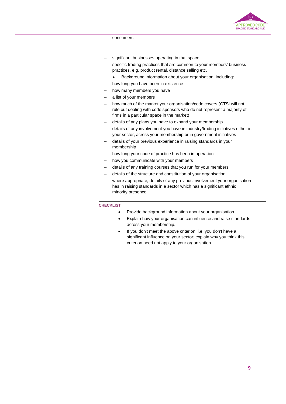

#### consumers

- significant businesses operating in that space
- specific trading practices that are common to your members' business practices, e.g. product rental, distance selling etc.
	- Background information about your organisation, including:
- how long you have been in existence
- how many members you have
- a list of your members
- how much of the market your organisation/code covers (CTSI will not rule out dealing with code sponsors who do not represent a majority of firms in a particular space in the market)
- details of any plans you have to expand your membership
- details of any involvement you have in industry/trading initiatives either in your sector, across your membership or in government initiatives
- details of your previous experience in raising standards in your membership
- how long your code of practice has been in operation
- how you communicate with your members
- details of any training courses that you run for your members
- details of the structure and constitution of your organisation
- where appropriate, details of any previous involvement your organisation has in raising standards in a sector which has a significant ethnic minority presence

- Provide background information about your organisation.
- Explain how your organisation can influence and raise standards across your membership.
- If you don't meet the above criterion, i.e. you don't have a significant influence on your sector; explain why you think this criterion need not apply to your organisation.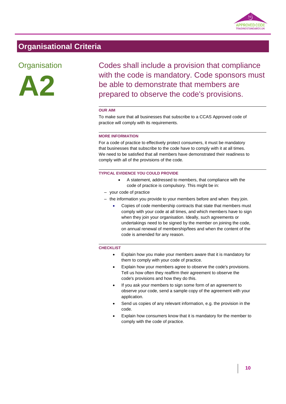

### **Organisational Criteria**

### **Organisation**



Codes shall include a provision that compliance with the code is mandatory. Code sponsors must be able to demonstrate that members are prepared to observe the code's provisions.

#### **OUR AIM**

To make sure that all businesses that subscribe to a CCAS Approved code of practice will comply with its requirements.

#### **MORE INFORMATION**

For a code of practice to effectively protect consumers, it must be mandatory that businesses that subscribe to the code have to comply with it at all times. We need to be satisfied that all members have demonstrated their readiness to comply with all of the provisions of the code.

#### **TYPICAL EVIDENCE YOU COULD PROVIDE**

- A statement, addressed to members, that compliance with the code of practice is compulsory. This might be in:
- your code of practice
- the information you provide to your members before and when they join.
	- Copies of code membership contracts that state that members must comply with your code at all times, and which members have to sign when they join your organisation. Ideally, such agreements or undertakings need to be signed by the member on joining the code, on annual renewal of membership/fees and when the content of the code is amended for any reason.

- Explain how you make your members aware that it is mandatory for them to comply with your code of practice.
- Explain how your members agree to observe the code's provisions. Tell us how often they reaffirm their agreement to observe the code's provisions and how they do this.
- If you ask your members to sign some form of an agreement to observe your code, send a sample copy of the agreement with your application.
- Send us copies of any relevant information, e.g. the provision in the code.
- Explain how consumers know that it is mandatory for the member to comply with the code of practice.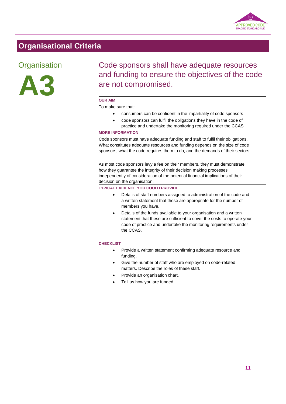

# **Organisational Criteria**

### **Organisation**



# Code sponsors shall have adequate resources and funding to ensure the objectives of the code are not compromised.

#### **OUR AIM**

#### To make sure that:

- consumers can be confident in the impartiality of code sponsors
- code sponsors can fulfil the obligations they have in the code of practice and undertake the monitoring required under the CCAS

#### **MORE INFORMATION**

Code sponsors must have adequate funding and staff to fulfil their obligations. What constitutes adequate resources and funding depends on the size of code sponsors, what the code requires them to do, and the demands of their sectors.

As most code sponsors levy a fee on their members, they must demonstrate how they guarantee the integrity of their decision making processes independently of consideration of the potential financial implications of their decision on the organisation.

#### **TYPICAL EVIDENCE YOU COULD PROVIDE**

- Details of staff numbers assigned to administration of the code and a written statement that these are appropriate for the number of members you have.
- Details of the funds available to your organisation and a written statement that these are sufficient to cover the costs to operate your code of practice and undertake the monitoring requirements under the CCAS.

- Provide a written statement confirming adequate resource and funding.
- Give the number of staff who are employed on code-related matters. Describe the roles of these staff.
- Provide an organisation chart.
- Tell us how you are funded.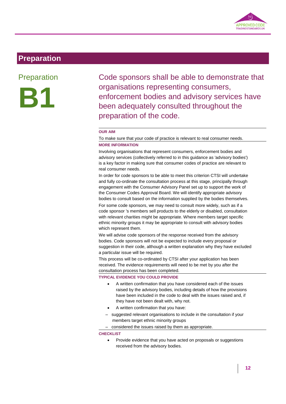

# **Preparation**

### **Preparation**



Code sponsors shall be able to demonstrate that organisations representing consumers, enforcement bodies and advisory services have been adequately consulted throughout the preparation of the code.

#### **OUR AIM**

To make sure that your code of practice is relevant to real consumer needs. **MORE INFORMATION**

Involving organisations that represent consumers, enforcement bodies and advisory services (collectively referred to in this guidance as 'advisory bodies') is a key factor in making sure that consumer codes of practice are relevant to real consumer needs.

In order for code sponsors to be able to meet this criterion CTSI will undertake and fully co-ordinate the consultation process at this stage, principally through engagement with the Consumer Advisory Panel set up to support the work of the Consumer Codes Approval Board. We will identify appropriate advisory bodies to consult based on the information supplied by the bodies themselves. For some code sponsors, we may need to consult more widely, such as if a code sponsor 's members sell products to the elderly or disabled, consultation with relevant charities might be appropriate. Where members target specific ethnic minority groups it may be appropriate to consult with advisory bodies which represent them.

We will advise code sponsors of the response received from the advisory bodies. Code sponsors will not be expected to include every proposal or suggestion in their code, although a written explanation why they have excluded a particular issue will be required.

This process will be co-ordinated by CTSI after your application has been received. The evidence requirements will need to be met by you after the consultation process has been completed.

#### **TYPICAL EVIDENCE YOU COULD PROVIDE**

- A written confirmation that you have considered each of the issues raised by the advisory bodies, including details of how the provisions have been included in the code to deal with the issues raised and, if they have not been dealt with, why not.
- A written confirmation that you have:
- suggested relevant organisations to include in the consultation if your members target ethnic minority groups
- considered the issues raised by them as appropriate.

**CHECKLIST**

• Provide evidence that you have acted on proposals or suggestions received from the advisory bodies.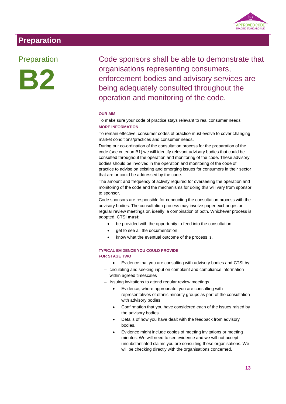

# **Preparation**

### Preparation



Code sponsors shall be able to demonstrate that organisations representing consumers, enforcement bodies and advisory services are being adequately consulted throughout the operation and monitoring of the code.

#### **OUR AIM**

#### To make sure your code of practice stays relevant to real consumer needs **MORE INFORMATION**

To remain effective, consumer codes of practice must evolve to cover changing market conditions/practices and consumer needs.

During our co-ordination of the consultation process for the preparation of the code (see criterion B1) we will identify relevant advisory bodies that could be consulted throughout the operation and monitoring of the code. These advisory bodies should be involved in the operation and monitoring of the code of practice to advise on existing and emerging issues for consumers in their sector that are or could be addressed by the code.

The amount and frequency of activity required for overseeing the operation and monitoring of the code and the mechanisms for doing this will vary from sponsor to sponsor.

Code sponsors are responsible for conducting the consultation process with the advisory bodies. The consultation process may involve paper exchanges or regular review meetings or, ideally, a combination of both. Whichever process is adopted, CTSI **must**:

- be provided with the opportunity to feed into the consultation
- get to see all the documentation
- know what the eventual outcome of the process is.

#### **TYPICAL EVIDENCE YOU COULD PROVIDE FOR STAGE TWO**

- Evidence that you are consulting with advisory bodies and CTSI by:
- circulating and seeking input on complaint and compliance information within agreed timescales
- issuing invitations to attend regular review meetings
	- Evidence, where appropriate, you are consulting with representatives of ethnic minority groups as part of the consultation with advisory bodies.
	- Confirmation that you have considered each of the issues raised by the advisory bodies.
	- Details of how you have dealt with the feedback from advisory bodies.
	- Evidence might include copies of meeting invitations or meeting minutes. We will need to see evidence and we will not accept unsubstantiated claims you are consulting these organisations. We will be checking directly with the organisations concerned.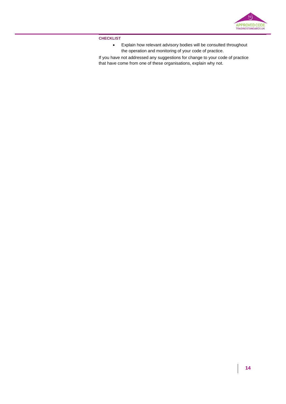

**CHECKLIST**

 Explain how relevant advisory bodies will be consulted throughout the operation and monitoring of your code of practice.

If you have not addressed any suggestions for change to your code of practice that have come from one of these organisations, explain why not.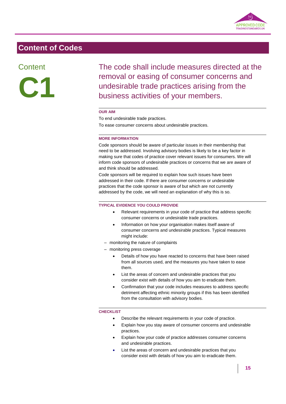

### **Content**



The code shall include measures directed at the removal or easing of consumer concerns and undesirable trade practices arising from the business activities of your members.

#### **OUR AIM**

To end undesirable trade practices.

To ease consumer concerns about undesirable practices.

#### **MORE INFORMATION**

Code sponsors should be aware of particular issues in their membership that need to be addressed. Involving advisory bodies is likely to be a key factor in making sure that codes of practice cover relevant issues for consumers. We will inform code sponsors of undesirable practices or concerns that we are aware of and think should be addressed.

Code sponsors will be required to explain how such issues have been addressed in their code. If there are consumer concerns or undesirable practices that the code sponsor is aware of but which are not currently addressed by the code, we will need an explanation of why this is so.

#### **TYPICAL EVIDENCE YOU COULD PROVIDE**

- Relevant requirements in your code of practice that address specific consumer concerns or undesirable trade practices.
- Information on how your organisation makes itself aware of consumer concerns and undesirable practices. Typical measures might include:
- monitoring the nature of complaints
- monitoring press coverage
	- Details of how you have reacted to concerns that have been raised from all sources used, and the measures you have taken to ease them.
	- List the areas of concern and undesirable practices that you consider exist with details of how you aim to eradicate them.
	- Confirmation that your code includes measures to address specific detriment affecting ethnic minority groups if this has been identified from the consultation with advisory bodies.

- Describe the relevant requirements in your code of practice.
- Explain how you stay aware of consumer concerns and undesirable practices.
- Explain how your code of practice addresses consumer concerns and undesirable practices.
- List the areas of concern and undesirable practices that you consider exist with details of how you aim to eradicate them.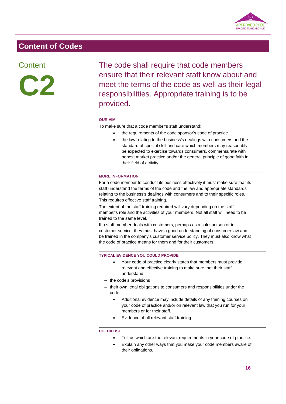

### **Content**



The code shall require that code members ensure that their relevant staff know about and meet the terms of the code as well as their legal responsibilities. Appropriate training is to be provided.

#### **OUR AIM**

To make sure that a code member's staff understand:

- the requirements of the code sponsor's code of practice
	- the law relating to the business's dealings with consumers and the standard of special skill and care which members may reasonably be expected to exercise towards consumers, commensurate with honest market practice and/or the general principle of good faith in their field of activity.

#### **MORE INFORMATION**

For a code member to conduct its business effectively it must make sure that its staff understand the terms of the code and the law and appropriate standards relating to the business's dealings with consumers and to their specific roles. This requires effective staff training.

The extent of the staff training required will vary depending on the staff member's role and the activities of your members. Not all staff will need to be trained to the same level.

If a staff member deals with customers, perhaps as a salesperson or in customer service, they must have a good understanding of consumer law and be trained in the company's customer service policy. They must also know what the code of practice means for them and for their customers.

#### **TYPICAL EVIDENCE YOU COULD PROVIDE**

- Your code of practice clearly states that members must provide relevant and effective training to make sure that their staff understand:
- the code's provisions
- their own legal obligations to consumers and responsibilities under the code.
	- Additional evidence may include details of any training courses on your code of practice and/or on relevant law that you run for your members or for their staff.
	- Evidence of all relevant staff training.

- Tell us which are the relevant requirements in your code of practice.
- Explain any other ways that you make your code members aware of their obligations.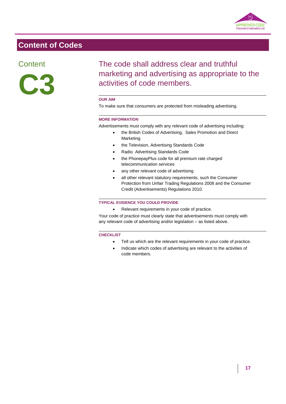

### **Content**



# The code shall address clear and truthful marketing and advertising as appropriate to the activities of code members.

#### **OUR AIM**

To make sure that consumers are protected from misleading advertising.

#### **MORE INFORMATION**

Advertisements must comply with any relevant code of advertising including:

- the British Codes of Advertising, Sales Promotion and Direct Marketing
- the Television, Advertising Standards Code
- Radio Advertising Standards Code
- the PhonepayPlus code for all premium rate charged telecommunication services
- any other relevant code of advertising
- all other relevant statutory requirements, such the Consumer Protection from Unfair Trading Regulations 2008 and the Consumer Credit (Advertisements) Regulations 2010.

#### **TYPICAL EVIDENCE YOU COULD PROVIDE**

Relevant requirements in your code of practice.

Your code of practice must clearly state that advertisements must comply with any relevant code of advertising and/or legislation – as listed above.

- Tell us which are the relevant requirements in your code of practice.
- Indicate which codes of advertising are relevant to the activities of code members.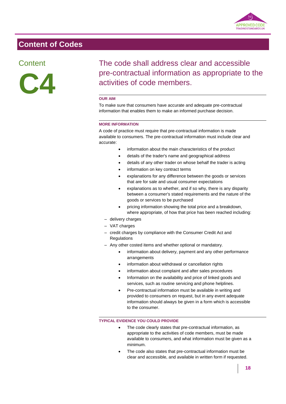

### **Content**



# The code shall address clear and accessible pre-contractual information as appropriate to the activities of code members.

#### **OUR AIM**

To make sure that consumers have accurate and adequate pre-contractual information that enables them to make an informed purchase decision.

#### **MORE INFORMATION**

A code of practice must require that pre-contractual information is made available to consumers. The pre-contractual information must include clear and accurate:

- information about the main characteristics of the product
- details of the trader's name and geographical address
- details of any other trader on whose behalf the trader is acting
- information on key contract terms
- explanations for any difference between the goods or services that are for sale and usual consumer expectations
- explanations as to whether, and if so why, there is any disparity between a consumer's stated requirements and the nature of the goods or services to be purchased
- pricing information showing the total price and a breakdown, where appropriate, of how that price has been reached including:
- delivery charges
- VAT charges
- credit charges by compliance with the Consumer Credit Act and Regulations
- Any other costed items and whether optional or mandatory.
	- information about delivery, payment and any other performance arrangements
	- information about withdrawal or cancellation rights
	- information about complaint and after sales procedures
	- Information on the availability and price of linked goods and services, such as routine servicing and phone helplines.
	- Pre-contractual information must be available in writing and provided to consumers on request, but in any event adequate information should always be given in a form which is accessible to the consumer.

#### **TYPICAL EVIDENCE YOU COULD PROVIDE**

- The code clearly states that pre-contractual information, as appropriate to the activities of code members, must be made available to consumers, and what information must be given as a minimum.
- The code also states that pre-contractual information must be clear and accessible, and available in written form if requested.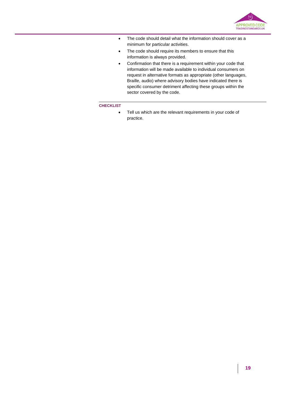

- The code should detail what the information should cover as a minimum for particular activities.
- The code should require its members to ensure that this information is always provided.
- Confirmation that there is a requirement within your code that information will be made available to individual consumers on request in alternative formats as appropriate (other languages, Braille, audio) where advisory bodies have indicated there is specific consumer detriment affecting these groups within the sector covered by the code.

#### **CHECKLIST**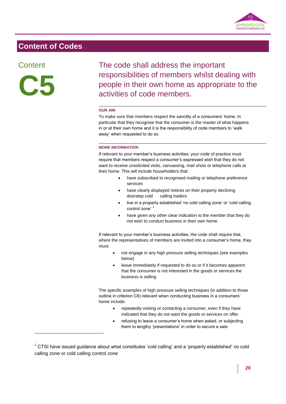

### **Content**



1

The code shall address the important responsibilities of members whilst dealing with people in their own home as appropriate to the activities of code members.

#### **OUR AIM**

To make sure that members respect the sanctity of a consumers' home. In particular that they recognise that the consumer is the master of what happens in or at their own home and it is the responsibility of code members to 'walk away' when requested to do so.

#### **MORE INFORMATION**

If relevant to your member's business activities, your code of practice must require that members respect a consumer's expressed wish that they do not want to receive unsolicited visits, canvassing, mail shots or telephone calls at their home. This will include householders that:

- have subscribed to recognised mailing or telephone preference services
- have clearly displayed notices on their property declining doorstep cold calling traders
- live in a properly established 'no cold calling zone' or 'cold calling control zone'<sup>1</sup>
- have given any other clear indication to the member that they do not wish to conduct business in their own home

If relevant to your member's business activities, the code shall require that, where the representatives of members are invited into a consumer's home, they must:

- not engage in any high pressure selling techniques (see examples below)
- leave immediately if requested to do so or if it becomes apparent that the consumer is not interested in the goods or services the business is selling

The specific examples of high pressure selling techniques (in addition to those outline in criterion C6) relevant when conducting business in a consumers' home include:

- repeatedly visiting or contacting a consumer, even if they have indicated that they do not want the goods or services on offer
- refusing to leave a consumer's home when asked, or subjecting them to lengthy 'presentations' in order to secure a sale

 $1$  CTSI have issued guidance about what constitutes 'cold calling' and a 'properly established' no cold calling zone or cold calling control zone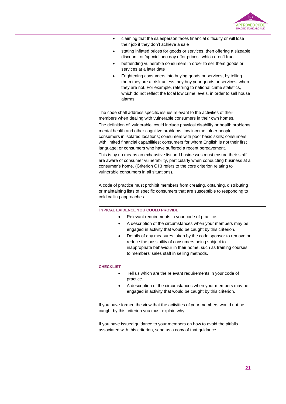

- claiming that the salesperson faces financial difficulty or will lose their job if they don't achieve a sale
- stating inflated prices for goods or services, then offering a sizeable discount, or 'special one day offer prices', which aren't true
- befriending vulnerable consumers in order to sell them goods or services at a later date
- Frightening consumers into buying goods or services, by telling them they are at risk unless they buy your goods or services, when they are not. For example, referring to national crime statistics, which do not reflect the local low crime levels, in order to sell house alarms

The code shall address specific issues relevant to the activities of their members when dealing with vulnerable consumers in their own homes. The definition of 'vulnerable' could include physical disability or health problems; mental health and other cognitive problems; low income; older people; consumers in isolated locations; consumers with poor basic skills; consumers with limited financial capabilities; consumers for whom English is not their first language; or consumers who have suffered a recent bereavement. This is by no means an exhaustive list and businesses must ensure their staff are aware of consumer vulnerability, particularly when conducting business at a consumer's home. (Criterion C13 refers to the core criterion relating to vulnerable consumers in all situations).

A code of practice must prohibit members from creating, obtaining, distributing or maintaining lists of specific consumers that are susceptible to responding to cold calling approaches.

#### **TYPICAL EVIDENCE YOU COULD PROVIDE**

- Relevant requirements in your code of practice.
- A description of the circumstances when your members may be engaged in activity that would be caught by this criterion.
- Details of any measures taken by the code sponsor to remove or reduce the possibility of consumers being subject to inappropriate behaviour in their home, such as training courses to members' sales staff in selling methods.

#### **CHECKLIST**

- Tell us which are the relevant requirements in your code of practice.
- A description of the circumstances when your members may be engaged in activity that would be caught by this criterion.

If you have formed the view that the activities of your members would not be caught by this criterion you must explain why.

If you have issued guidance to your members on how to avoid the pitfalls associated with this criterion, send us a copy of that guidance.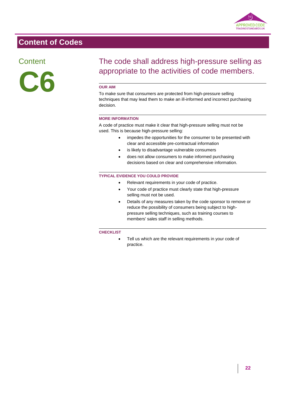

### **Content**



# The code shall address high-pressure selling as appropriate to the activities of code members.

#### **OUR AIM**

To make sure that consumers are protected from high-pressure selling techniques that may lead them to make an ill-informed and incorrect purchasing decision.

#### **MORE INFORMATION**

A code of practice must make it clear that high-pressure selling must not be used. This is because high-pressure selling:

- impedes the opportunities for the consumer to be presented with clear and accessible pre-contractual information
- is likely to disadvantage vulnerable consumers
- does not allow consumers to make informed purchasing decisions based on clear and comprehensive information.

#### **TYPICAL EVIDENCE YOU COULD PROVIDE**

- Relevant requirements in your code of practice.
- Your code of practice must clearly state that high-pressure selling must not be used.
- Details of any measures taken by the code sponsor to remove or reduce the possibility of consumers being subject to highpressure selling techniques, such as training courses to members' sales staff in selling methods.

#### **CHECKLIST**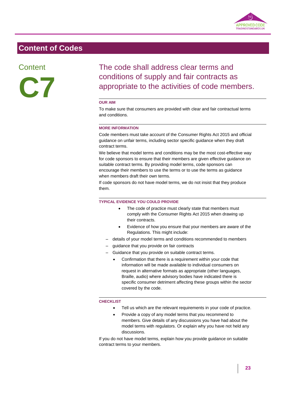

**Content** 



The code shall address clear terms and conditions of supply and fair contracts as appropriate to the activities of code members.

#### **OUR AIM**

To make sure that consumers are provided with clear and fair contractual terms and conditions.

#### **MORE INFORMATION**

Code members must take account of the Consumer Rights Act 2015 and official guidance on unfair terms, including sector specific guidance when they draft contract terms.

We believe that model terms and conditions may be the most cost-effective way for code sponsors to ensure that their members are given effective guidance on suitable contract terms. By providing model terms, code sponsors can encourage their members to use the terms or to use the terms as guidance when members draft their own terms.

If code sponsors do not have model terms, we do not insist that they produce them.

#### **TYPICAL EVIDENCE YOU COULD PROVIDE**

- The code of practice must clearly state that members must comply with the Consumer Rights Act 2015 when drawing up their contracts.
- Evidence of how you ensure that your members are aware of the Regulations. This might include:
- details of your model terms and conditions recommended to members
- guidance that you provide on fair contracts
- Guidance that you provide on suitable contract terms.
	- Confirmation that there is a requirement within your code that information will be made available to individual consumers on request in alternative formats as appropriate (other languages, Braille, audio) where advisory bodies have indicated there is specific consumer detriment affecting these groups within the sector covered by the code.

#### **CHECKLIST**

- Tell us which are the relevant requirements in your code of practice.
- Provide a copy of any model terms that you recommend to members. Give details of any discussions you have had about the model terms with regulators. Or explain why you have not held any discussions.

If you do not have model terms, explain how you provide guidance on suitable contract terms to your members.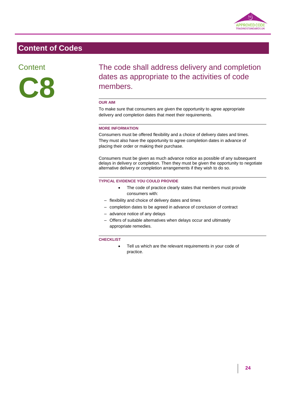

**Content** 



The code shall address delivery and completion dates as appropriate to the activities of code members.

#### **OUR AIM**

To make sure that consumers are given the opportunity to agree appropriate delivery and completion dates that meet their requirements.

#### **MORE INFORMATION**

Consumers must be offered flexibility and a choice of delivery dates and times. They must also have the opportunity to agree completion dates in advance of placing their order or making their purchase.

Consumers must be given as much advance notice as possible of any subsequent delays in delivery or completion. Then they must be given the opportunity to negotiate alternative delivery or completion arrangements if they wish to do so.

#### **TYPICAL EVIDENCE YOU COULD PROVIDE**

- The code of practice clearly states that members must provide consumers with:
- flexibility and choice of delivery dates and times
- completion dates to be agreed in advance of conclusion of contract
- advance notice of any delays
- Offers of suitable alternatives when delays occur and ultimately appropriate remedies.

#### **CHECKLIST**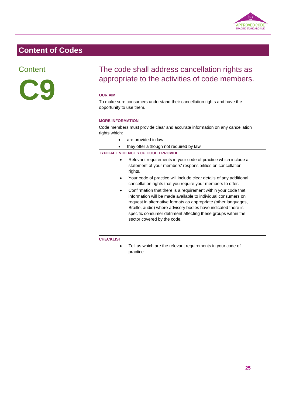

### **Content**



# The code shall address cancellation rights as appropriate to the activities of code members.

#### **OUR AIM**

To make sure consumers understand their cancellation rights and have the opportunity to use them.

#### **MORE INFORMATION**

Code members must provide clear and accurate information on any cancellation rights which:

- are provided in law
- they offer although not required by law.

#### **TYPICAL EVIDENCE YOU COULD PROVIDE**

- Relevant requirements in your code of practice which include a statement of your members' responsibilities on cancellation rights.
- Your code of practice will include clear details of any additional cancellation rights that you require your members to offer.
- Confirmation that there is a requirement within your code that information will be made available to individual consumers on request in alternative formats as appropriate (other languages, Braille, audio) where advisory bodies have indicated there is specific consumer detriment affecting these groups within the sector covered by the code.

#### **CHECKLIST**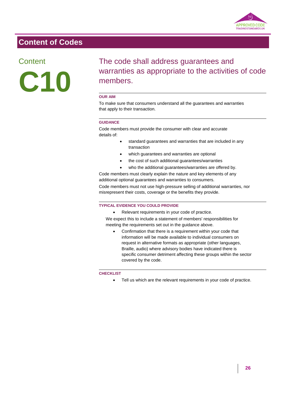

### **Content**



# The code shall address guarantees and warranties as appropriate to the activities of code members.

#### **OUR AIM**

To make sure that consumers understand all the guarantees and warranties that apply to their transaction.

#### **GUIDANCE**

Code members must provide the consumer with clear and accurate details of:

- standard guarantees and warranties that are included in any transaction
- which guarantees and warranties are optional
- the cost of such additional guarantees/warranties
- who the additional guarantees/warranties are offered by.

Code members must clearly explain the nature and key elements of any additional optional guarantees and warranties to consumers.

Code members must not use high-pressure selling of additional warranties, nor misrepresent their costs, coverage or the benefits they provide.

#### **TYPICAL EVIDENCE YOU COULD PROVIDE**

Relevant requirements in your code of practice.

We expect this to include a statement of members' responsibilities for meeting the requirements set out in the guidance above.

 Confirmation that there is a requirement within your code that information will be made available to individual consumers on request in alternative formats as appropriate (other languages, Braille, audio) where advisory bodies have indicated there is specific consumer detriment affecting these groups within the sector covered by the code.

#### **CHECKLIST**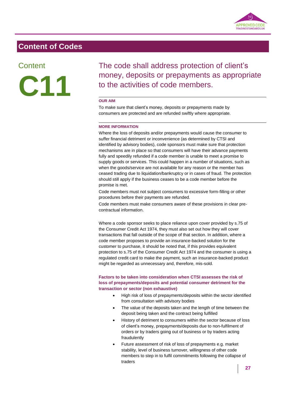

### **Content**



The code shall address protection of client's money, deposits or prepayments as appropriate to the activities of code members.

#### **OUR AIM**

To make sure that client's money, deposits or prepayments made by consumers are protected and are refunded swiftly where appropriate.

#### **MORE INFORMATION**

Where the loss of deposits and/or prepayments would cause the consumer to suffer financial detriment or inconvenience (as determined by CTSI and identified by advisory bodies), code sponsors must make sure that protection mechanisms are in place so that consumers will have their advance payments fully and speedily refunded if a code member is unable to meet a promise to supply goods or services. This could happen in a number of situations, such as when the goods/service are not available for any reason or the member has ceased trading due to liquidation/bankruptcy or in cases of fraud. The protection should still apply if the business ceases to be a code member before the promise is met.

Code members must not subject consumers to excessive form-filling or other procedures before their payments are refunded.

Code members must make consumers aware of these provisions in clear precontractual information.

Where a code sponsor seeks to place reliance upon cover provided by s.75 of the Consumer Credit Act 1974, they must also set out how they will cover transactions that fall outside of the scope of that section. In addition, where a code member proposes to provide an insurance-backed solution for the customer to purchase, it should be noted that, if this provides equivalent protection to s.75 of the Consumer Credit Act 1974 and the consumer is using a regulated credit card to make the payment, such an insurance-backed product might be regarded as unnecessary and, therefore, mis-sold.

#### **Factors to be taken into consideration when CTSI assesses the risk of loss of prepayments/deposits and potential consumer detriment for the transaction or sector (non exhaustive)**

- High risk of loss of prepayments/deposits within the sector identified from consultation with advisory bodies
- The value of the deposits taken and the length of time between the deposit being taken and the contract being fulfilled
- History of detriment to consumers within the sector because of loss of client's money, prepayments/deposits due to non-fulfilment of orders or by traders going out of business or by traders acting fraudulently
- Future assessment of risk of loss of prepayments e.g. market stability, level of business turnover, willingness of other code members to step in to fulfil commitments following the collapse of traders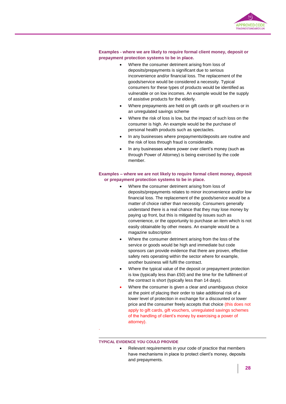

#### **Examples - where we are likely to require formal client money, deposit or prepayment protection systems to be in place.**

- Where the consumer detriment arising from loss of deposits/prepayments is significant due to serious inconvenience and/or financial loss. The replacement of the goods/service would be considered a necessity. Typical consumers for these types of products would be identified as vulnerable or on low incomes. An example would be the supply of assistive products for the elderly.
- Where prepayments are held on gift cards or gift vouchers or in an unregulated savings scheme
- Where the risk of loss is low, but the impact of such loss on the consumer is high. An example would be the purchase of personal health products such as spectacles.
- In any businesses where prepayments/deposits are routine and the risk of loss through fraud is considerable.
- In any businesses where power over client's money (such as through Power of Attorney) is being exercised by the code member.

#### **Examples – where we are not likely to require formal client money, deposit or prepayment protection systems to be in place.**

- Where the consumer detriment arising from loss of deposits/prepayments relates to minor inconvenience and/or low financial loss. The replacement of the goods/service would be a matter of choice rather than necessity. Consumers generally understand there is a real chance that they may lose money by paying up front, but this is mitigated by issues such as convenience, or the opportunity to purchase an item which is not easily obtainable by other means. An example would be a magazine subscription
- Where the consumer detriment arising from the loss of the service or goods would be high and immediate but code sponsors can provide evidence that there are proven, effective safety nets operating within the sector where for example, another business will fulfil the contract.
- Where the typical value of the deposit or prepayment protection is low (typically less than £50) and the time for the fulfilment of the contract is short (typically less than 14 days).
- Where the consumer is given a clear and unambiguous choice at the point of placing their order to take additional risk of a lower level of protection in exchange for a discounted or lower price and the consumer freely accepts that choice (this does not apply to gift cards, gift vouchers, unregulated savings schemes of the handling of client's money by exercising a power of attorney).

#### **TYPICAL EVIDENCE YOU COULD PROVIDE**

.

 Relevant requirements in your code of practice that members have mechanisms in place to protect client's money, deposits and prepayments.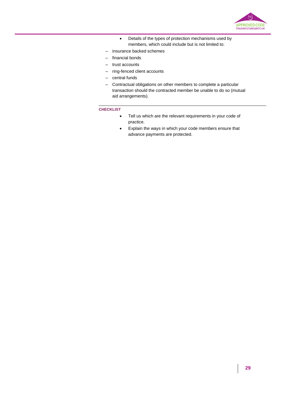

- Details of the types of protection mechanisms used by members, which could include but is not limited to:
- insurance backed schemes
- financial bonds
- trust accounts
- ring-fenced client accounts
- central funds
- Contractual obligations on other members to complete a particular transaction should the contracted member be unable to do so (mutual aid arrangements).

- Tell us which are the relevant requirements in your code of practice.
- Explain the ways in which your code members ensure that advance payments are protected.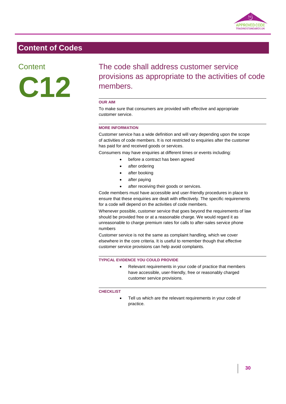

**Content** 

**C12**

The code shall address customer service provisions as appropriate to the activities of code members.

#### **OUR AIM**

To make sure that consumers are provided with effective and appropriate customer service.

#### **MORE INFORMATION**

Customer service has a wide definition and will vary depending upon the scope of activities of code members. It is not restricted to enquiries after the customer has paid for and received goods or services.

Consumers may have enquiries at different times or events including:

- before a contract has been agreed
	- after ordering
	- after booking
	- after paying
	- after receiving their goods or services.

Code members must have accessible and user-friendly procedures in place to ensure that these enquiries are dealt with effectively. The specific requirements for a code will depend on the activities of code members.

Whenever possible, customer service that goes beyond the requirements of law should be provided free or at a reasonable charge. We would regard it as unreasonable to charge premium rates for calls to after-sales service phone numbers

Customer service is not the same as complaint handling, which we cover elsewhere in the core criteria. It is useful to remember though that effective customer service provisions can help avoid complaints.

#### **TYPICAL EVIDENCE YOU COULD PROVIDE**

 Relevant requirements in your code of practice that members have accessible, user-friendly, free or reasonably charged customer service provisions.

#### **CHECKLIST**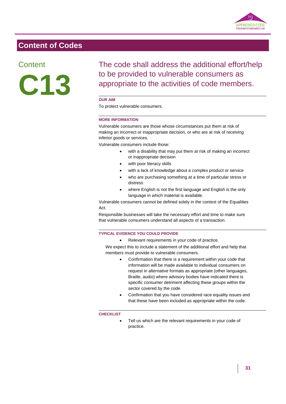

### **Content**



The code shall address the additional effort/help to be provided to vulnerable consumers as appropriate to the activities of code members.

#### **OUR AIM**

To protect vulnerable consumers.

#### **MORE INFORMATION**

Vulnerable consumers are those whose circumstances put them at risk of making an incorrect or inappropriate decision, or who are at risk of receiving inferior goods or services.

Vulnerable consumers include those:

- with a disability that may put them at risk of making an incorrect or inappropriate decision
- with poor literacy skills
- with a lack of knowledge about a complex product or service
- who are purchasing something at a time of particular stress or distress
- where English is not the first language and English is the only language in which material is available.

Vulnerable consumers cannot be defined solely in the context of the Equalities Act.

Responsible businesses will take the necessary effort and time to make sure that vulnerable consumers understand all aspects of a transaction.

#### **TYPICAL EVIDENCE YOU COULD PROVIDE**

Relevant requirements in your code of practice.

We expect this to include a statement of the additional effort and help that members must provide to vulnerable consumers.

- Confirmation that there is a requirement within your code that information will be made available to individual consumers on request in alternative formats as appropriate (other languages, Braille, audio) where advisory bodies have indicated there is specific consumer detriment affecting these groups within the sector covered by the code.
- Confirmation that you have considered race equality issues and that these have been included as appropriate within the code.

#### **CHECKLIST**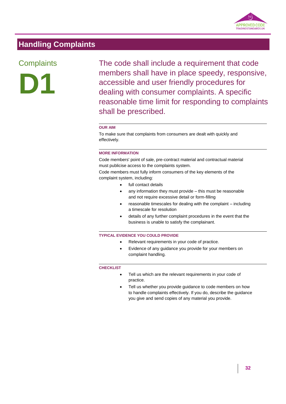

# **Handling Complaints**

# **Complaints**



The code shall include a requirement that code members shall have in place speedy, responsive, accessible and user friendly procedures for dealing with consumer complaints. A specific reasonable time limit for responding to complaints shall be prescribed.

#### **OUR AIM**

To make sure that complaints from consumers are dealt with quickly and effectively.

#### **MORE INFORMATION**

Code members' point of sale, pre-contract material and contractual material must publicise access to the complaints system.

Code members must fully inform consumers of the key elements of the complaint system, including:

- full contact details
- any information they must provide this must be reasonable and not require excessive detail or form-filling
- reasonable timescales for dealing with the complaint including a timescale for resolution
- details of any further complaint procedures in the event that the business is unable to satisfy the complainant.

#### **TYPICAL EVIDENCE YOU COULD PROVIDE**

- Relevant requirements in your code of practice.
- Evidence of any guidance you provide for your members on complaint handling.

- Tell us which are the relevant requirements in your code of practice.
- Tell us whether you provide guidance to code members on how to handle complaints effectively. If you do, describe the guidance you give and send copies of any material you provide.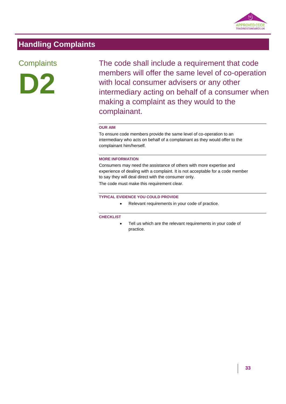

# **Handling Complaints**

# **Complaints**



The code shall include a requirement that code members will offer the same level of co-operation with local consumer advisers or any other intermediary acting on behalf of a consumer when making a complaint as they would to the complainant.

#### **OUR AIM**

To ensure code members provide the same level of co-operation to an intermediary who acts on behalf of a complainant as they would offer to the complainant him/herself.

#### **MORE INFORMATION**

Consumers may need the assistance of others with more expertise and experience of dealing with a complaint. It is not acceptable for a code member to say they will deal direct with the consumer only.

The code must make this requirement clear.

#### **TYPICAL EVIDENCE YOU COULD PROVIDE**

• Relevant requirements in your code of practice.

#### **CHECKLIST**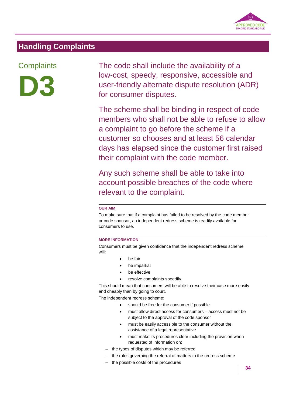

### **Handling Complaints**

# **Complaints**



The code shall include the availability of a low-cost, speedy, responsive, accessible and user-friendly alternate dispute resolution (ADR) for consumer disputes.

The scheme shall be binding in respect of code members who shall not be able to refuse to allow a complaint to go before the scheme if a customer so chooses and at least 56 calendar days has elapsed since the customer first raised their complaint with the code member.

Any such scheme shall be able to take into account possible breaches of the code where relevant to the complaint.

#### **OUR AIM**

To make sure that if a complaint has failed to be resolved by the code member or code sponsor, an independent redress scheme is readily available for consumers to use.

#### **MORE INFORMATION**

Consumers must be given confidence that the independent redress scheme will:

- be fair
- be impartial
- be effective
- resolve complaints speedily.

This should mean that consumers will be able to resolve their case more easily and cheaply than by going to court.

The independent redress scheme:

- should be free for the consumer if possible
- must allow direct access for consumers access must not be subject to the approval of the code sponsor
- must be easily accessible to the consumer without the assistance of a legal representative
- must make its procedures clear including the provision when requested of information on:
- the types of disputes which may be referred
- the rules governing the referral of matters to the redress scheme
- the possible costs of the procedures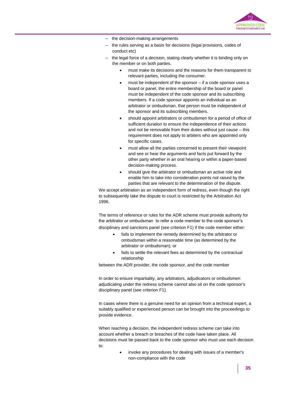

- the decision-making arrangements
- the rules serving as a basis for decisions (legal provisions, codes of conduct etc)
- the legal force of a decision, stating clearly whether it is binding only on the member or on both parties.
	- must make its decisions and the reasons for them transparent to relevant parties, including the consumer.
	- must be independent of the sponsor if a code sponsor uses a board or panel, the entire membership of the board or panel must be independent of the code sponsor and its subscribing members. If a code sponsor appoints an individual as an arbitrator or ombudsman, that person must be independent of the sponsor and its subscribing members.
	- should appoint arbitrators or ombudsmen for a period of office of sufficient duration to ensure the independence of their actions and not be removable from their duties without just cause – this requirement does not apply to arbiters who are appointed only for specific cases.
	- must allow all the parties concerned to present their viewpoint and see or hear the arguments and facts put forward by the other party whether in an oral hearing or within a paper-based decision-making process.
	- should give the arbitrator or ombudsman an active role and enable him to take into consideration points not raised by the parties that are relevant to the determination of the dispute.

We accept arbitration as an independent form of redress, even though the right to subsequently take the dispute to court is restricted by the Arbitration Act 1996.

The terms of reference or rules for the ADR scheme must provide authority for the arbitrator or ombudsman to refer a code member to the code sponsor's disciplinary and sanctions panel (see criterion F1) if the code member either:

- fails to implement the remedy determined by the arbitrator or ombudsman within a reasonable time (as determined by the arbitrator or ombudsman); or
- fails to settle the relevant fees as determined by the contractual relationship

between the ADR provider, the code sponsor, and the code member

In order to ensure impartiality, any arbitrators, adjudicators or ombudsmen adjudicating under the redress scheme cannot also sit on the code sponsor's disciplinary panel (see criterion F1).

In cases where there is a genuine need for an opinion from a technical expert, a suitably qualified or experienced person can be brought into the proceedings to provide evidence.

When reaching a decision, the independent redress scheme can take into account whether a breach or breaches of the code have taken place. All decisions must be passed back to the code sponsor who must use each decision to:

> invoke any procedures for dealing with issues of a member's non-compliance with the code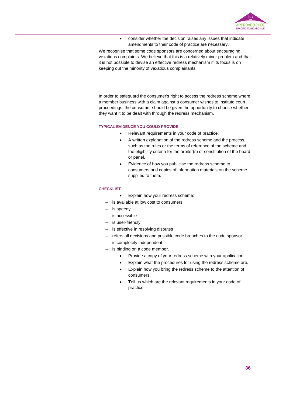

 consider whether the decision raises any issues that indicate amendments to their code of practice are necessary.

We recognise that some code sponsors are concerned about encouraging vexatious complaints. We believe that this is a relatively minor problem and that it is not possible to devise an effective redress mechanism if its focus is on keeping out the minority of vexatious complainants.

In order to safeguard the consumer's right to access the redress scheme where a member business with a claim against a consumer wishes to institute court proceedings, the consumer should be given the opportunity to choose whether they want it to be dealt with through the redress mechanism.

#### **TYPICAL EVIDENCE YOU COULD PROVIDE**

- Relevant requirements in your code of practice.
	- A written explanation of the redress scheme and the process, such as the rules or the terms of reference of the scheme and the eligibility criteria for the arbiter(s) or constitution of the board or panel.
	- Evidence of how you publicise the redress scheme to consumers and copies of information materials on the scheme supplied to them.

- Explain how your redress scheme:
- is available at low cost to consumers
- is speedy
- is accessible
- is user-friendly
- is effective in resolving disputes
- refers all decisions and possible code breaches to the code sponsor
- is completely independent
- is binding on a code member.
	- Provide a copy of your redress scheme with your application.
	- Explain what the procedures for using the redress scheme are.
	- Explain how you bring the redress scheme to the attention of consumers.
	- Tell us which are the relevant requirements in your code of practice.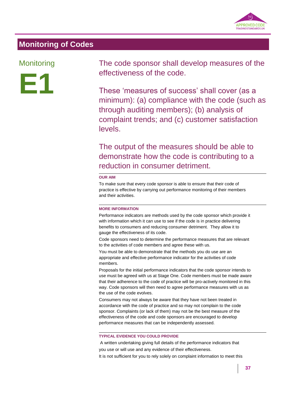

# **Monitoring of Codes**

### **Monitoring**



The code sponsor shall develop measures of the effectiveness of the code.

These 'measures of success' shall cover (as a minimum): (a) compliance with the code (such as through auditing members); (b) analysis of complaint trends; and (c) customer satisfaction levels.

The output of the measures should be able to demonstrate how the code is contributing to a reduction in consumer detriment.

#### **OUR AIM**

To make sure that every code sponsor is able to ensure that their code of practice is effective by carrying out performance monitoring of their members and their activities.

#### **MORE INFORMATION**

Performance indicators are methods used by the code sponsor which provide it with information which it can use to see if the code is in practice delivering benefits to consumers and reducing consumer detriment. They allow it to gauge the effectiveness of its code.

Code sponsors need to determine the performance measures that are relevant to the activities of code members and agree these with us.

You must be able to demonstrate that the methods you do use are an appropriate and effective performance indicator for the activities of code members.

Proposals for the initial performance indicators that the code sponsor intends to use must be agreed with us at Stage One. Code members must be made aware that their adherence to the code of practice will be pro-actively monitored in this way. Code sponsors will then need to agree performance measures with us as the use of the code evolves.

Consumers may not always be aware that they have not been treated in accordance with the code of practice and so may not complain to the code sponsor. Complaints (or lack of them) may not be the best measure of the effectiveness of the code and code sponsors are encouraged to develop performance measures that can be independently assessed.

#### **TYPICAL EVIDENCE YOU COULD PROVIDE**

A written undertaking giving full details of the performance indicators that you use or will use and any evidence of their effectiveness. It is not sufficient for you to rely solely on complaint information to meet this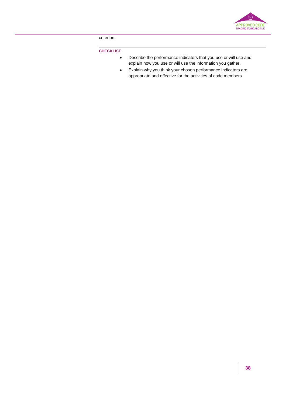

criterion.

- Describe the performance indicators that you use or will use and explain how you use or will use the information you gather.
- Explain why you think your chosen performance indicators are appropriate and effective for the activities of code members.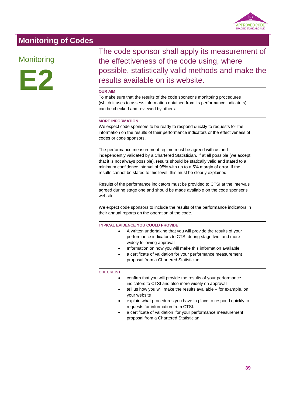

# **Monitoring of Codes**

# **Monitoring**



The code sponsor shall apply its measurement of the effectiveness of the code using, where possible, statistically valid methods and make the results available on its website.

#### **OUR AIM**

To make sure that the results of the code sponsor's monitoring procedures (which it uses to assess information obtained from its performance indicators) can be checked and reviewed by others.

#### **MORE INFORMATION**

We expect code sponsors to be ready to respond quickly to requests for the information on the results of their performance indicators or the effectiveness of codes or code sponsors.

The performance measurement regime must be agreed with us and independently validated by a Chartered Statistician. If at all possible (we accept that it is not always possible), results should be statically valid and stated to a minimum confidence interval of 95% with up to a 5% margin of error. If the results cannot be stated to this level, this must be clearly explained.

Results of the performance indicators must be provided to CTSI at the intervals agreed during stage one and should be made available on the code sponsor's website.

We expect code sponsors to include the results of the performance indicators in their annual reports on the operation of the code.

#### **TYPICAL EVIDENCE YOU COULD PROVIDE**

- A written undertaking that you will provide the results of your performance indicators to CTSI during stage two, and more widely following approval
- Information on how you will make this information available
- a certificate of validation for your performance measurement proposal from a Chartered Statistician

- confirm that you will provide the results of your performance indicators to CTSI and also more widely on approval
- tell us how you will make the results available for example, on your website
- explain what procedures you have in place to respond quickly to requests for information from CTSI.
- a certificate of validation for your performance measurement proposal from a Chartered Statistician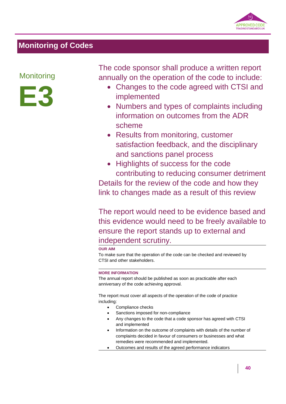

# **Monitoring of Codes**

### **Monitoring**



The code sponsor shall produce a written report annually on the operation of the code to include:

- Changes to the code agreed with CTSI and implemented
- Numbers and types of complaints including information on outcomes from the ADR scheme
- Results from monitoring, customer satisfaction feedback, and the disciplinary and sanctions panel process
- Highlights of success for the code contributing to reducing consumer detriment Details for the review of the code and how they link to changes made as a result of this review

The report would need to be evidence based and this evidence would need to be freely available to ensure the report stands up to external and independent scrutiny.

#### **OUR AIM**

To make sure that the operation of the code can be checked and reviewed by CTSI and other stakeholders.

#### **MORE INFORMATION**

The annual report should be published as soon as practicable after each anniversary of the code achieving approval.

The report must cover all aspects of the operation of the code of practice including:

- Compliance checks
- Sanctions imposed for non-compliance
- Any changes to the code that a code sponsor has agreed with CTSI and implemented
- Information on the outcome of complaints with details of the number of complaints decided in favour of consumers or businesses and what remedies were recommended and implemented.
- Outcomes and results of the agreed performance indicators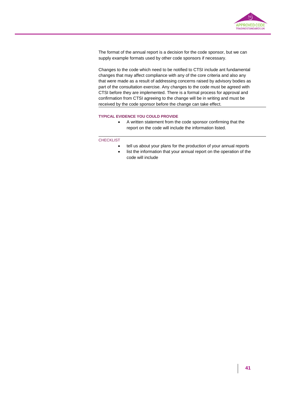

The format of the annual report is a decision for the code sponsor, but we can supply example formats used by other code sponsors if necessary.

Changes to the code which need to be notified to CTSI include ant fundamental changes that may affect compliance with any of the core criteria and also any that were made as a result of addressing concerns raised by advisory bodies as part of the consultation exercise. Any changes to the code must be agreed with CTSI before they are implemented. There is a formal process for approval and confirmation from CTSI agreeing to the change will be in writing and must be received by the code sponsor before the change can take effect.

#### **TYPICAL EVIDENCE YOU COULD PROVIDE**

 A written statement from the code sponsor confirming that the report on the code will include the information listed.

- tell us about your plans for the production of your annual reports
- list the information that your annual report on the operation of the code will include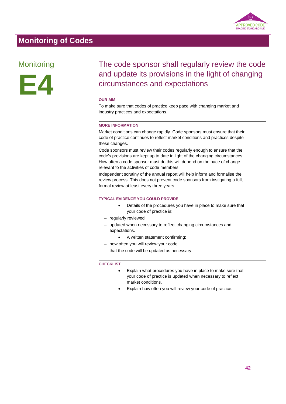

# **Monitoring of Codes**

### **Monitoring**



# The code sponsor shall regularly review the code and update its provisions in the light of changing circumstances and expectations

#### **OUR AIM**

To make sure that codes of practice keep pace with changing market and industry practices and expectations.

#### **MORE INFORMATION**

Market conditions can change rapidly. Code sponsors must ensure that their code of practice continues to reflect market conditions and practices despite these changes.

Code sponsors must review their codes regularly enough to ensure that the code's provisions are kept up to date in light of the changing circumstances. How often a code sponsor must do this will depend on the pace of change relevant to the activities of code members.

Independent scrutiny of the annual report will help inform and formalise the review process. This does not prevent code sponsors from instigating a full, formal review at least every three years.

#### **TYPICAL EVIDENCE YOU COULD PROVIDE**

- Details of the procedures you have in place to make sure that your code of practice is:
- regularly reviewed
- updated when necessary to reflect changing circumstances and expectations.
	- A written statement confirming:
- how often you will review your code
- that the code will be updated as necessary.

- Explain what procedures you have in place to make sure that your code of practice is updated when necessary to reflect market conditions.
- Explain how often you will review your code of practice.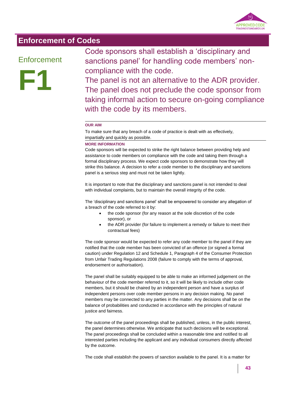

### **Enforcement of Codes**

### **Enforcement**



Code sponsors shall establish a 'disciplinary and sanctions panel' for handling code members' noncompliance with the code.

The panel is not an alternative to the ADR provider. The panel does not preclude the code sponsor from taking informal action to secure on-going compliance with the code by its members.

#### **OUR AIM**

To make sure that any breach of a code of practice is dealt with as effectively, impartially and quickly as possible.

#### **MORE INFORMATION**

Code sponsors will be expected to strike the right balance between providing help and assistance to code members on compliance with the code and taking them through a formal disciplinary process. We expect code sponsors to demonstrate how they will strike this balance. A decision to refer a code member to the disciplinary and sanctions panel is a serious step and must not be taken lightly.

It is important to note that the disciplinary and sanctions panel is not intended to deal with individual complaints, but to maintain the overall integrity of the code.

The 'disciplinary and sanctions panel' shall be empowered to consider any allegation of a breach of the code referred to it by:

- the code sponsor (for any reason at the sole discretion of the code sponsor), or
- the ADR provider (for failure to implement a remedy or failure to meet their contractual fees)

The code sponsor would be expected to refer any code member to the panel if they are notified that the code member has been convicted of an offence (or signed a formal caution) under Regulation 12 and Schedule 1, Paragraph 4 of the Consumer Protection from Unfair Trading Regulations 2008 (failure to comply with the terms of approval, endorsement or authorisation).

The panel shall be suitably equipped to be able to make an informed judgement on the behaviour of the code member referred to it, so it will be likely to include other code members, but it should be chaired by an independent person and have a surplus of independent persons over code member persons in any decision making. No panel members may be connected to any parties in the matter. Any decisions shall be on the balance of probabilities and conducted in accordance with the principles of natural justice and fairness.

The outcome of the panel proceedings shall be published, unless, in the public interest, the panel determines otherwise. We anticipate that such decisions will be exceptional. The panel proceedings shall be concluded within a reasonable time and notified to all interested parties including the applicant and any individual consumers directly affected by the outcome.

The code shall establish the powers of sanction available to the panel. It is a matter for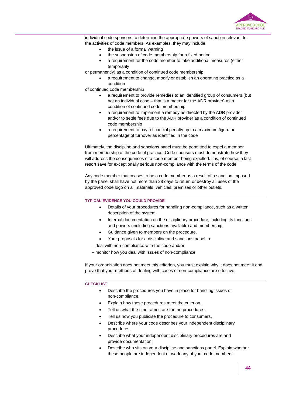

individual code sponsors to determine the appropriate powers of sanction relevant to the activities of code members. As examples, they may include:

- the issue of a formal warning
- the suspension of code membership for a fixed period
- a requirement for the code member to take additional measures (either temporarily

or permanently) as a condition of continued code membership

 a requirement to change, modify or establish an operating practice as a condition

of continued code membership

- a requirement to provide remedies to an identified group of consumers (but not an individual case – that is a matter for the ADR provider) as a condition of continued code membership
- a requirement to implement a remedy as directed by the ADR provider and/or to settle fees due to the ADR provider as a condition of continued code membership
- a requirement to pay a financial penalty up to a maximum figure or percentage of turnover as identified in the code

Ultimately, the discipline and sanctions panel must be permitted to expel a member from membership of the code of practice. Code sponsors must demonstrate how they will address the consequences of a code member being expelled. It is, of course, a last resort save for exceptionally serious non-compliance with the terms of the code.

Any code member that ceases to be a code member as a result of a sanction imposed by the panel shall have not more than 28 days to return or destroy all uses of the approved code logo on all materials, vehicles, premises or other outlets.

#### **TYPICAL EVIDENCE YOU COULD PROVIDE**

- Details of your procedures for handling non-compliance, such as a written description of the system.
- Internal documentation on the disciplinary procedure, including its functions and powers (including sanctions available) and membership.
- Guidance given to members on the procedure.
- Your proposals for a discipline and sanctions panel to:
- deal with non-compliance with the code and/or
- monitor how you deal with issues of non-compliance.

If your organisation does not meet this criterion, you must explain why it does not meet it and prove that your methods of dealing with cases of non-compliance are effective.

- Describe the procedures you have in place for handling issues of non-compliance.
- Explain how these procedures meet the criterion.
- Tell us what the timeframes are for the procedures.
- Tell us how you publicise the procedure to consumers.
- Describe where your code describes your independent disciplinary procedures.
- Describe what your independent disciplinary procedures are and provide documentation.
- Describe who sits on your discipline and sanctions panel. Explain whether these people are independent or work any of your code members.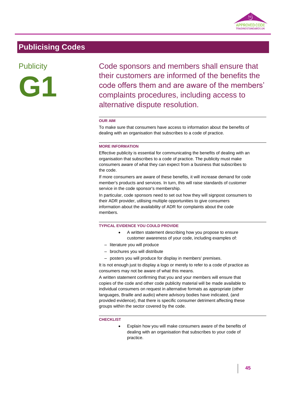

### **Publicity**



Code sponsors and members shall ensure that their customers are informed of the benefits the code offers them and are aware of the members' complaints procedures, including access to alternative dispute resolution.

#### **OUR AIM**

To make sure that consumers have access to information about the benefits of dealing with an organisation that subscribes to a code of practice.

#### **MORE INFORMATION**

Effective publicity is essential for communicating the benefits of dealing with an organisation that subscribes to a code of practice. The publicity must make consumers aware of what they can expect from a business that subscribes to the code.

If more consumers are aware of these benefits, it will increase demand for code member's products and services. In turn, this will raise standards of customer service in the code sponsor's membership.

In particular, code sponsors need to set out how they will signpost consumers to their ADR provider, utilising multiple opportunities to give consumers information about the availability of ADR for complaints about the code members.

#### **TYPICAL EVIDENCE YOU COULD PROVIDE**

- A written statement describing how you propose to ensure customer awareness of your code, including examples of:
- literature you will produce
- brochures you will distribute
- posters you will produce for display in members' premises.

It is not enough just to display a logo or merely to refer to a code of practice as consumers may not be aware of what this means.

A written statement confirming that you and your members will ensure that copies of the code and other code publicity material will be made available to individual consumers on request in alternative formats as appropriate (other languages, Braille and audio) where advisory bodies have indicated, (and provided evidence), that there is specific consumer detriment affecting these groups within the sector covered by the code.

#### **CHECKLIST**

 Explain how you will make consumers aware of the benefits of dealing with an organisation that subscribes to your code of practice.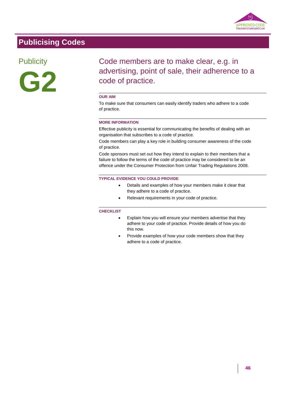

### **Publicity**



Code members are to make clear, e.g. in advertising, point of sale, their adherence to a code of practice.

#### **OUR AIM**

To make sure that consumers can easily identify traders who adhere to a code of practice.

#### **MORE INFORMATION**

Effective publicity is essential for communicating the benefits of dealing with an organisation that subscribes to a code of practice.

Code members can play a key role in building consumer awareness of the code of practice.

Code sponsors must set out how they intend to explain to their members that a failure to follow the terms of the code of practice may be considered to be an offence under the Consumer Protection from Unfair Trading Regulations 2008.

#### **TYPICAL EVIDENCE YOU COULD PROVIDE**

- Details and examples of how your members make it clear that they adhere to a code of practice.
- Relevant requirements in your code of practice.

- Explain how you will ensure your members advertise that they adhere to your code of practice. Provide details of how you do this now.
- Provide examples of how your code members show that they adhere to a code of practice.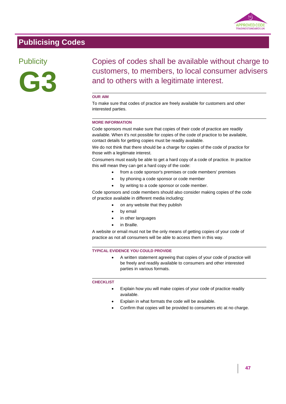

### **Publicity**



Copies of codes shall be available without charge to customers, to members, to local consumer advisers and to others with a legitimate interest.

#### **OUR AIM**

To make sure that codes of practice are freely available for customers and other interested parties.

#### **MORE INFORMATION**

Code sponsors must make sure that copies of their code of practice are readily available. When it's not possible for copies of the code of practice to be available, contact details for getting copies must be readily available.

We do not think that there should be a charge for copies of the code of practice for those with a legitimate interest.

Consumers must easily be able to get a hard copy of a code of practice. In practice this will mean they can get a hard copy of the code:

- from a code sponsor's premises or code members' premises
- by phoning a code sponsor or code member
- by writing to a code sponsor or code member.

Code sponsors and code members should also consider making copies of the code of practice available in different media including:

- on any website that they publish
- by email
- in other languages
- in Braille.

A website or email must not be the only means of getting copies of your code of practice as not all consumers will be able to access them in this way.

#### **TYPICAL EVIDENCE YOU COULD PROVIDE**

 A written statement agreeing that copies of your code of practice will be freely and readily available to consumers and other interested parties in various formats.

- Explain how you will make copies of your code of practice readily available.
- Explain in what formats the code will be available.
- Confirm that copies will be provided to consumers etc at no charge.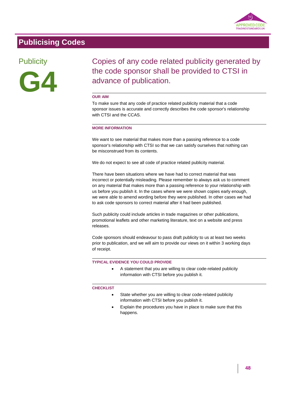

### **Publicity**



Copies of any code related publicity generated by the code sponsor shall be provided to CTSI in advance of publication.

#### **OUR AIM**

To make sure that any code of practice related publicity material that a code sponsor issues is accurate and correctly describes the code sponsor's relationship with CTSI and the CCAS.

#### **MORE INFORMATION**

We want to see material that makes more than a passing reference to a code sponsor's relationship with CTSI so that we can satisfy ourselves that nothing can be misconstrued from its contents.

We do not expect to see all code of practice related publicity material.

There have been situations where we have had to correct material that was incorrect or potentially misleading. Please remember to always ask us to comment on any material that makes more than a passing reference to your relationship with us before you publish it. In the cases where we were shown copies early enough, we were able to amend wording before they were published. In other cases we had to ask code sponsors to correct material after it had been published.

Such publicity could include articles in trade magazines or other publications, promotional leaflets and other marketing literature, text on a website and press releases.

Code sponsors should endeavour to pass draft publicity to us at least two weeks prior to publication, and we will aim to provide our views on it within 3 working days of receipt.

#### **TYPICAL EVIDENCE YOU COULD PROVIDE**

 A statement that you are willing to clear code-related publicity information with CTSI before you publish it.

- State whether you are willing to clear code-related publicity information with CTSI before you publish it.
- Explain the procedures you have in place to make sure that this happens.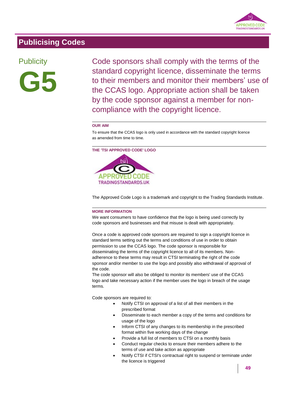

### **Publicity**



Code sponsors shall comply with the terms of the standard copyright licence, disseminate the terms to their members and monitor their members' use of the CCAS logo. Appropriate action shall be taken by the code sponsor against a member for noncompliance with the copyright licence.

#### **OUR AIM**

To ensure that the CCAS logo is only used in accordance with the standard copyright licence as amended from time to time.

**THE 'TSI APPROVED CODE' LOGO**



The Approved Code Logo is a trademark and copyright to the Trading Standards Institute.

#### **MORE INFORMATION**

We want consumers to have confidence that the logo is being used correctly by code sponsors and businesses and that misuse is dealt with appropriately.

Once a code is approved code sponsors are required to sign a copyright licence in standard terms setting out the terms and conditions of use in order to obtain permission to use the CCAS logo. The code sponsor is responsible for disseminating the terms of the copyright licence to all of its members. Nonadherence to these terms may result in CTSI terminating the right of the code sponsor and/or member to use the logo and possibly also withdrawal of approval of the code.

The code sponsor will also be obliged to monitor its members' use of the CCAS logo and take necessary action if the member uses the logo in breach of the usage terms.

Code sponsors are required to:

- Notify CTSI on approval of a list of all their members in the prescribed format
- Disseminate to each member a copy of the terms and conditions for usage of the logo
- Inform CTSI of any changes to its membership in the prescribed format within five working days of the change
- Provide a full list of members to CTSI on a monthly basis
- Conduct regular checks to ensure their members adhere to the terms of use and take action as appropriate
- Notify CTSI if CTSI's contractual right to suspend or terminate under the licence is triggered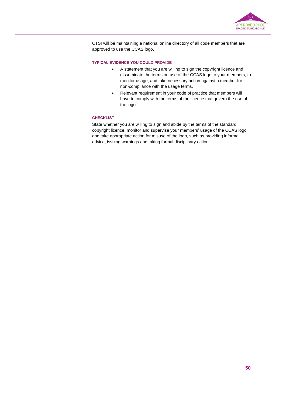

CTSI will be maintaining a national online directory of all code members that are approved to use the CCAS logo.

#### **TYPICAL EVIDENCE YOU COULD PROVIDE**

- A statement that you are willing to sign the copyright licence and disseminate the terms on use of the CCAS logo to your members, to monitor usage, and take necessary action against a member for non-compliance with the usage terms.
- Relevant requirement in your code of practice that members will have to comply with the terms of the licence that govern the use of the logo.

#### **CHECKLIST**

State whether you are willing to sign and abide by the terms of the standard copyright licence, monitor and supervise your members' usage of the CCAS logo and take appropriate action for misuse of the logo, such as providing informal advice, issuing warnings and taking formal disciplinary action.